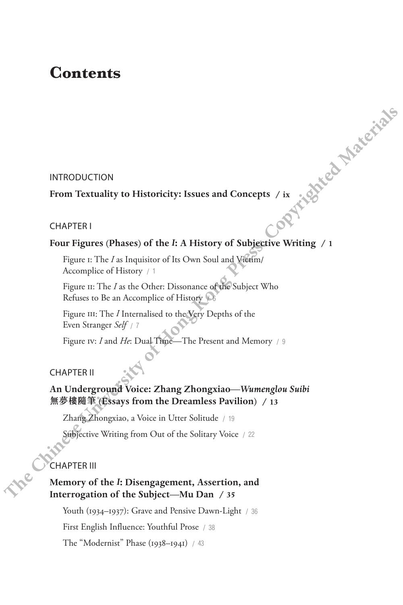### **Contents**

### INTRODUCTION

# **From Textuality to Historicity: Issues and Concepts / ix and Eq. 1 Material Concepts / ix**

### CHAPTER I

### **Four Figures (Phases) of the** *I***: A History of Subjective Writing / 1**

Figure 1: The *I* as Inquisitor of Its Own Soul and Victim/ Accomplice of History / 1

Figure II: The *I* as the Other: Dissonance of the Subject Who Refuses to Be an Accomplice of History  $66$ 

Figure III: The *I* Internalised to the Very Depths of the Even Stranger *Self* / 7

Figure Iv: *I* and *He*: Dual Time—The Present and Memory / 9

### CHAPTER II

## **An Underground Voice: Zhang Zhongxiao—***Wumenglou Suibi*  **無夢樓隨筆 (Essays from the Dreamless Pavilion) / 13 Theorem 1998 Confidentials**<br> **Theorem Textuality to Historicity: Issues and Concepts / is<br>
CHAPTER1<br>
<b>Theorem Figures (Phases) of the F. A History of Subjective Writing / 1**<br> **Figure is:** The *L* as Inquision of Its Ow

Zhang Zhongxiao, a Voice in Utter Solitude / 19

Subjective Writing from Out of the Solitary Voice / 22

### CHAPTER III

### **Memory of the** *I***: Disengagement, Assertion, and Interrogation of the Subject—Mu Dan / 35**

Youth (1934–1937): Grave and Pensive Dawn-Light / 36

First English Influence: Youthful Prose / 38

The "Modernist" Phase (1938–1941) / 43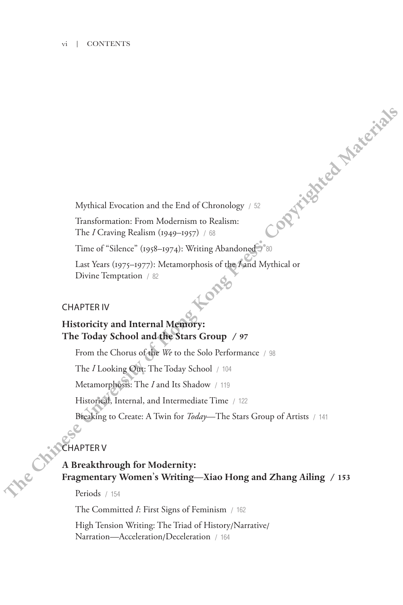### vi | CONTENTS

Mythical Evocation and the End of Chronology / 52

Transformation: From Modernism to Realism: The *I* Craving Realism (1949–1957) / 68

Time of "Silence" (1958–1974): Writing Abandoned

Last Years (1975–1977): Metamorphosis of the *I* and Mythical or<br>Divine Temptation / 82<br>APTER IV Divine Temptation / 82

### CHAPTER IV

### **Historicity and Internal Memory: The Today School and the Stars Group / 97**

From the Chorus of the *We* to the Solo Performance / 98 The *I* Looking Out: The Today School / 104 Metamorphosis: The *I* and Its Shadow / 119 Historical, Internal, and Intermediate Time / 122 Breaking to Create: A Twin for *Today*—The Stars Group of Artists / 141 **Mythical Fivocation and the End of Chronology** /  $\infty$ <br> **Therefore Chinese** Renam (Modernian to Realism:<br> **The / Grown Modernian** (1949–197) / <sup>83</sup> is  $\infty$ <br> **Therefore (1958–1972):** Metamorphosis of the Kard Mythical or

### **CHAPTER V**

### **A Breakthrough for Modernity: Fragmentary Women**'**s Writing—Xiao Hong and Zhang Ailing / 153**

Periods / 154

The Committed *I*: First Signs of Feminism / 162

High Tension Writing: The Triad of History/Narrative/ Narration—Acceleration/Deceleration / <sup>164</sup>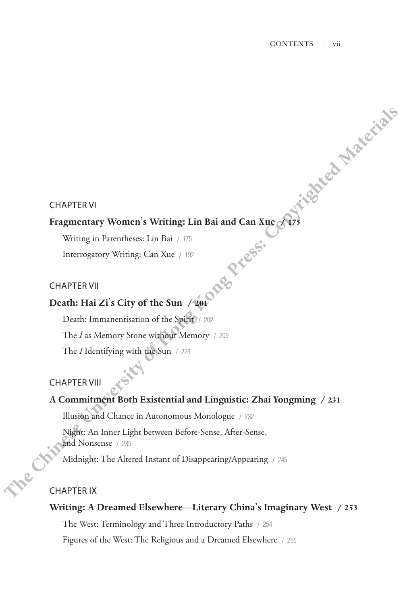### CHAPTER VI

### **Fragmentary Women**'**s Writing: Lin Bai and Can Xue / 175**

Writing in Parentheses: Lin Bai / 175 Interrogatory Writing: Can Xue / 192

### CHAPTER VII

### **Death: Hai Zi**'**s City of the Sun / 201**

Death: Immanentisation of the Spirit / 202 The *I* as Memory Stone without Memory / 209 The *I* Identifying with the Sun / 223 **THAPTER VI**<br> **Thermography Women's Writing: Lin Bai and Can Xue**  $\sqrt{3}$ **<br>
<b>Thermography Writing:** Can Xue ( $\sqrt{2}$ <br> **CHAPTER VII**<br> **CHAPTER VII**<br> **CHAPTER VII**<br> **CHAPTER VII**<br> **CHAPTER VII**<br> **CHAPTER VII**<br> **CHAPTER VII**<br>

### CHAPTER VIII

### **A Commitment Both Existential and Linguistic: Zhai Yongming / 231**

Illusion and Chance in Autonomous Monologue / 232

Night: An Inner Light between Before-Sense, After-Sense, and Nonsense / 235

Midnight: The Altered Instant of Disappearing/Appearing / <sup>245</sup>

### CHAPTER IX

### **Writing: A Dreamed Elsewhere—Literary China**'**s Imaginary West / 253**

The West: Terminology and Three Introductory Paths / 254

Figures of the West: The Religious and a Dreamed Elsewhere / 255